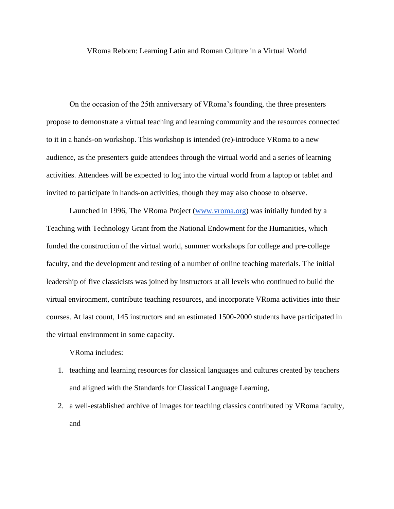## VRoma Reborn: Learning Latin and Roman Culture in a Virtual World

On the occasion of the 25th anniversary of VRoma's founding, the three presenters propose to demonstrate a virtual teaching and learning community and the resources connected to it in a hands-on workshop. This workshop is intended (re)-introduce VRoma to a new audience, as the presenters guide attendees through the virtual world and a series of learning activities. Attendees will be expected to log into the virtual world from a laptop or tablet and invited to participate in hands-on activities, though they may also choose to observe.

Launched in 1996, The VRoma Project [\(www.vroma.org\)](http://www.vroma.org/) was initially funded by a Teaching with Technology Grant from the National Endowment for the Humanities, which funded the construction of the virtual world, summer workshops for college and pre-college faculty, and the development and testing of a number of online teaching materials. The initial leadership of five classicists was joined by instructors at all levels who continued to build the virtual environment, contribute teaching resources, and incorporate VRoma activities into their courses. At last count, 145 instructors and an estimated 1500-2000 students have participated in the virtual environment in some capacity.

VRoma includes:

- 1. teaching and learning resources for classical languages and cultures created by teachers and aligned with the Standards for Classical Language Learning,
- 2. a well-established archive of images for teaching classics contributed by VRoma faculty, and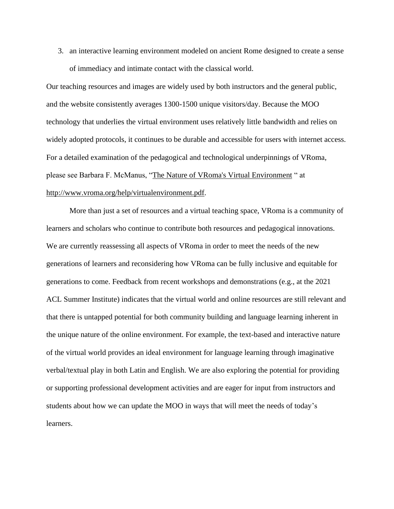3. an interactive learning environment modeled on ancient Rome designed to create a sense of immediacy and intimate contact with the classical world.

Our teaching resources and images are widely used by both instructors and the general public, and the website consistently averages 1300-1500 unique visitors/day. Because the MOO technology that underlies the virtual environment uses relatively little bandwidth and relies on widely adopted protocols, it continues to be durable and accessible for users with internet access. For a detailed examination of the pedagogical and technological underpinnings of VRoma, please see Barbara F. McManus, ["The Nature of VRoma's Virtual Environment](http://www.vroma.org/help/virtualenvironment.pdf) " at [http://www.vroma.org/help/virtualenvironment.pdf.](http://www.vroma.org/help/virtualenvironment.pdf)

More than just a set of resources and a virtual teaching space, VRoma is a community of learners and scholars who continue to contribute both resources and pedagogical innovations. We are currently reassessing all aspects of VRoma in order to meet the needs of the new generations of learners and reconsidering how VRoma can be fully inclusive and equitable for generations to come. Feedback from recent workshops and demonstrations (e.g., at the 2021 ACL Summer Institute) indicates that the virtual world and online resources are still relevant and that there is untapped potential for both community building and language learning inherent in the unique nature of the online environment. For example, the text-based and interactive nature of the virtual world provides an ideal environment for language learning through imaginative verbal/textual play in both Latin and English. We are also exploring the potential for providing or supporting professional development activities and are eager for input from instructors and students about how we can update the MOO in ways that will meet the needs of today's learners.